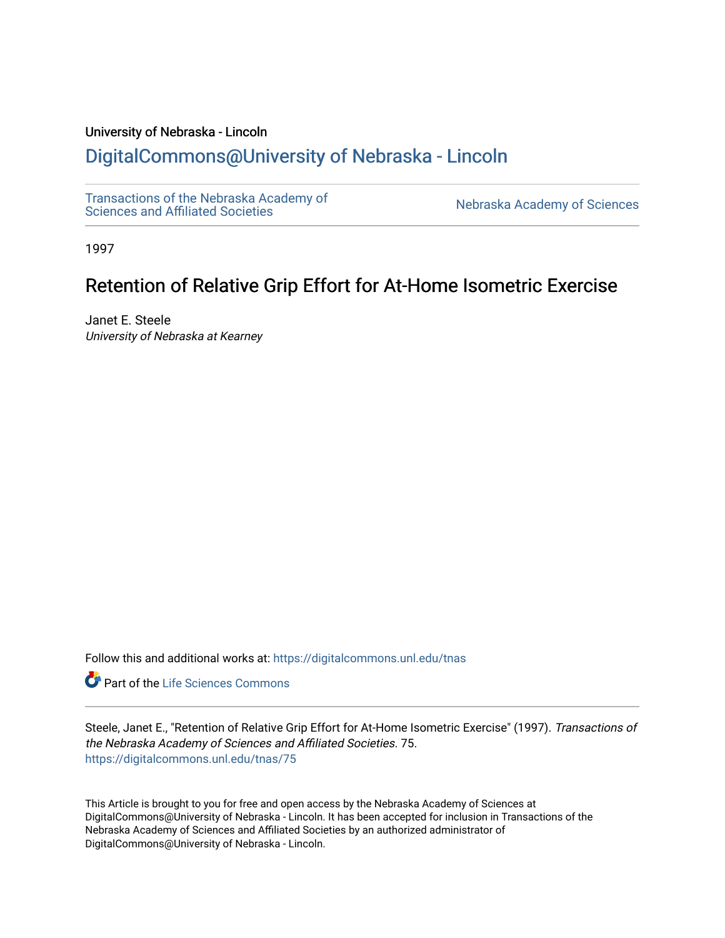## University of Nebraska - Lincoln

# [DigitalCommons@University of Nebraska - Lincoln](https://digitalcommons.unl.edu/)

[Transactions of the Nebraska Academy of](https://digitalcommons.unl.edu/tnas) 

Nebraska Academy of Sciences

1997

# Retention of Relative Grip Effort for At-Home Isometric Exercise

Janet E. Steele University of Nebraska at Kearney

Follow this and additional works at: [https://digitalcommons.unl.edu/tnas](https://digitalcommons.unl.edu/tnas?utm_source=digitalcommons.unl.edu%2Ftnas%2F75&utm_medium=PDF&utm_campaign=PDFCoverPages) 

**Part of the Life Sciences Commons** 

Steele, Janet E., "Retention of Relative Grip Effort for At-Home Isometric Exercise" (1997). Transactions of the Nebraska Academy of Sciences and Affiliated Societies. 75. [https://digitalcommons.unl.edu/tnas/75](https://digitalcommons.unl.edu/tnas/75?utm_source=digitalcommons.unl.edu%2Ftnas%2F75&utm_medium=PDF&utm_campaign=PDFCoverPages)

This Article is brought to you for free and open access by the Nebraska Academy of Sciences at DigitalCommons@University of Nebraska - Lincoln. It has been accepted for inclusion in Transactions of the Nebraska Academy of Sciences and Affiliated Societies by an authorized administrator of DigitalCommons@University of Nebraska - Lincoln.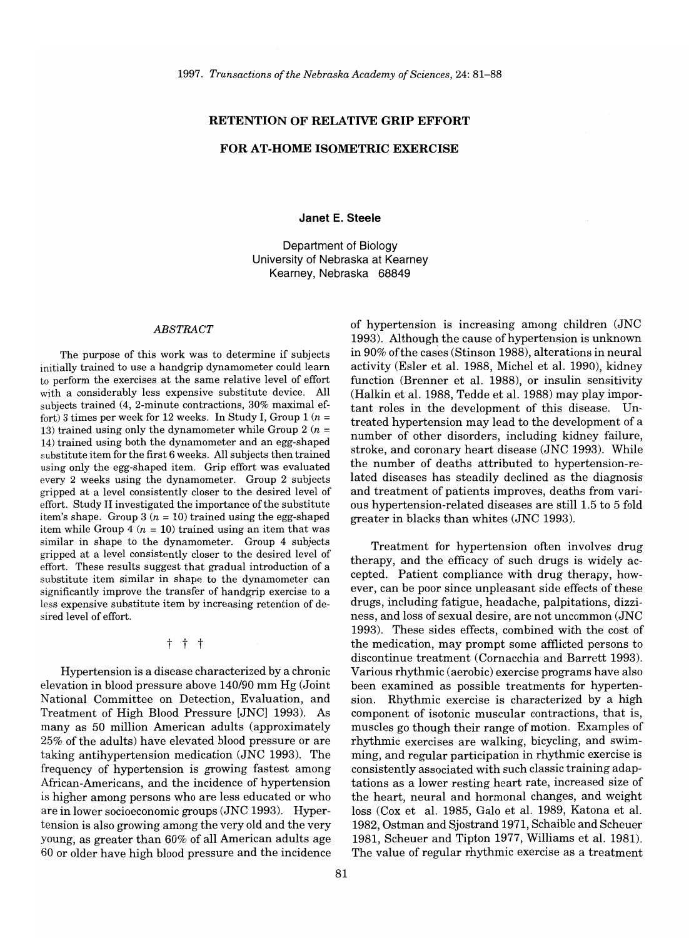#### **RETENTION OF RELATIVE GRIP EFFORT**

#### **FOR AT-HOME ISOMETRIC EXERCISE**

**Janet E. Steele** 

Department of Biology University of Nebraska at Kearney Kearney, Nebraska 68849

#### *ABSTRACT*

The purpose of this work was to determine if subjects initially trained to use a handgrip dynamometer could learn to perform the exercises at the same relative level of effort with a considerably less expensive substitute device. All subjects trained (4, 2-minute contractions, 30% maximal effort) 3 times per week for 12 weeks. In Study I, Group  $1(n =$ 13) trained using only the dynamometer while Group 2  $(n =$ 14) trained using both the dynamometer and an egg-shaped substitute item for the first 6 weeks. All subjects then trained using only the egg-shaped item. Grip effort was evaluated every 2 weeks using the dynamometer. Group 2 subjects gripped at a level consistently closer to the desired level of effort. Study II investigated the importance of the substitute item's shape. Group  $3(n = 10)$  trained using the egg-shaped item while Group 4 ( $n = 10$ ) trained using an item that was similar in shape to the dynamometer. Group 4 subjects gripped at a level consistently closer to the desired level of effort. These results suggest that gradual introduction of a substitute item similar in shape to the dynamometer can significantly improve the transfer of handgrip exercise to a less expensive substitute item by increasing retention of desired level of effort.

t t t

Hypertension is a disease characterized by a chronic elevation in blood pressure above *140/90* mm Hg (Joint National Committee on Detection, Evaluation, and Treatment of High Blood Pressure [JNC] 1993). As many as 50 million American adults (approximately 25% of the adults) have elevated blood pressure or are taking antihypertension medication (JNC 1993). The frequency of hypertension is growing fastest among Mrican-Americans, and the incidence of hypertension is higher among persons who are less educated or who are in lower socioeconomic groups (JNC 1993). Hypertension is also growing among the very old and the very young, as greater than 60% of all American adults age 60 or older have high blood pressure and the incidence of hypertension is increasing among children (JNC 1993). Although the cause of hypertension is unknown in 90% of the cases (Stinson 1988), alterations in neural activity (Esler et al. 1988, Michel et al. 1990), kidney function (Brenner et al. 1988), or insulin sensitivity (Halkin et al. 1988, Tedde et al. 1988) may play important roles in the development of this disease. Untreated hypertension may lead to the development of a number of other disorders, including kidney failure, stroke, and coronary heart disease (JNC 1993). While the number of deaths attributed to hypertension-related diseases has steadily declined as the diagnosis and treatment of patients improves, deaths from various hypertension-related diseases are still 1.5 to 5 fold greater in blacks than whites (JNC 1993).

Treatment for hypertension often involves drug therapy, and the efficacy of such drugs is widely accepted. Patient compliance with drug therapy, however, can be poor since unpleasant side effects of these drugs, including fatigue, headache, palpitations, dizziness, and loss of sexual desire, are not uncommon (JNC 1993). These sides effects, combined with the cost of the medication, may prompt some afflicted persons to discontinue treatment (Cornacchia and Barrett 1993). Various rhythmic (aerobic) exercise programs have also been examined as possible treatments for hypertension. Rhythmic exercise is characterized by a high component of isotonic muscular contractions, that is, muscles go though their range of motion. Examples of rhythmic exercises are walking, bicycling, and swimming, and regular participation in rhythmic exercise is consistently associated with such classic training adaptations as a lower resting heart rate, increased size of the heart, neural and hormonal changes, and weight loss (Cox et al. 1985, Galo et al. 1989, Katona et al. 1982, Ostman and Sjostrand 1971, Schaible and Scheuer 1981, Scheuer and Tipton 1977, Williams et al. 1981). The value of regular rhythmic exercise as a treatment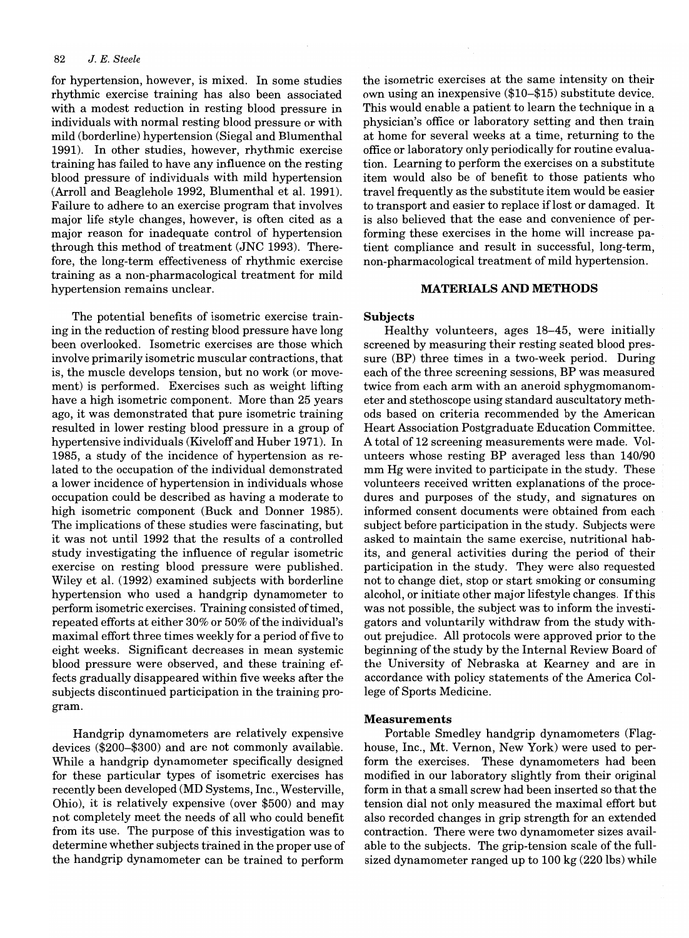#### 82 J. *E. Steele*

for hypertension, however, is mixed. In some studies rhythmic exercise training has also been associated with a modest reduction in resting blood pressure in individuals with normal resting blood pressure or with mild (borderline) hypertension (Siegal and Blumenthal 1991). In other studies, however, rhythmic exercise training has failed to have any influence on the resting blood pressure of individuals with mild hypertension (Arroll and Beaglehole 1992, Blumenthal et al. 1991). Failure to adhere to an exercise program that involves major life style changes, however, is often cited as a major reason for inadequate control of hypertension through this method of treatment (JNC 1993). Therefore, the long-term effectiveness of rhythmic exercise training as a non-pharmacological treatment for mild hypertension remains unclear.

The potential benefits of isometric exercise training in the reduction of resting blood pressure have long been overlooked. Isometric exercises are those which involve primarily isometric muscular contractions, that is, the muscle develops tension, but no work (or movement) is performed. Exercises such as weight lifting have a high isometric component. More than 25 years ago, it was demonstrated that pure isometric training resulted in lower resting blood pressure in a group of hypertensive individuals (Kiveloff and Huber 1971). In 1985, a study of the incidence of hypertension as related to the occupation of the individual demonstrated a lower incidence of hypertension in individuals whose occupation could be described as having a moderate to high isometric component (Buck and Donner 1985). The implications of these studies were fascinating, but it was not until 1992 that the results of a controlled study investigating the influence of regular isometric exercise on resting blood pressure were published. Wiley et al. (1992) examined subjects with borderline hypertension who used a handgrip dynamometer to perform isometric exercises. Training consisted oftimed, repeated efforts at either 30% or 50% of the individual's maximal effort three times weekly for a period of five to eight weeks. Significant decreases in mean systemic blood pressure were observed, and these training effects gradually disappeared within five weeks after the subjects discontinued participation in the training program.

Handgrip dynamometers are relatively expensive devices (\$200-\$300) and are not commonly available. While a handgrip dynamometer specifically designed for these particular types of isometric exercises has recently been developed (MD Systems, Inc., Westerville, Ohio), it is relatively expensive (over \$500) and may not completely meet the needs of all who could benefit from its use. The purpose of this investigation was to determine whether subjects trained in the proper use of the handgrip dynamometer can be trained to perform

the isometric exercises at the same intensity on their own using an inexpensive (\$10-\$15) substitute device. This would enable a patient to learn the technique in a physician's office or laboratory setting and then train at home for several weeks at a time, returning to the office or laboratory only periodically for routine evaluation. Learning to perform the exercises on a substitute item would also be of benefit to those patients who travel frequently as the substitute item would be easier to transport and easier to replace iflost or damaged. It is also believed that the ease and convenience of performing these exercises in the home will increase patient compliance and result in successful, long-term, non-pharmacological treatment of mild hypertension.

## **MATERIALS AND METHODS**

## Subjects

Healthy volunteers, ages 18-45, were initially screened by measuring their resting seated blood pressure (BP) three times in a two-week period. During each of the three screening sessions, BP was measured twice from each arm with an aneroid sphygmomanometer and stethoscope using standard auscultatory methods based on criteria recommended by the American Heart Association Postgraduate Education Committee. A total of 12 screening measurements were made. Volunteers whose resting BP averaged less than 140/90 mm Hg were invited to participate in the study. These volunteers received written explanations of the procedures and purposes of the study, and signatures on informed consent documents were obtained from each subject before participation in the study. Subjects were asked to maintain the same exercise, nutritional habits, and general activities during the period of their participation in the study. They were also requested not to change diet, stop or start smoking or consuming alcohol, or initiate other major lifestyle changes. If this was not possible, the subject was to inform the investigators and voluntarily withdraw from the study without prejudice. All protocols were approved prior to the beginning of the study by the Internal Review Board of the University of Nebraska at Kearney and are in accordance with policy statements of the America College of Sports Medicine.

## Measurements

Portable Smedley handgrip dynamometers (Flaghouse, Inc., Mt. Vernon, New York) were used to perform the exercises. These dynamometers had been modified in our laboratory slightly from their original form in that a small screw had been inserted so that the tension dial not only measured the maximal effort but also recorded changes in grip strength for an extended contraction. There were two dynamometer sizes available to the subjects. The grip-tension scale of the fullsized dynamometer ranged up to 100 kg (220 Ibs) while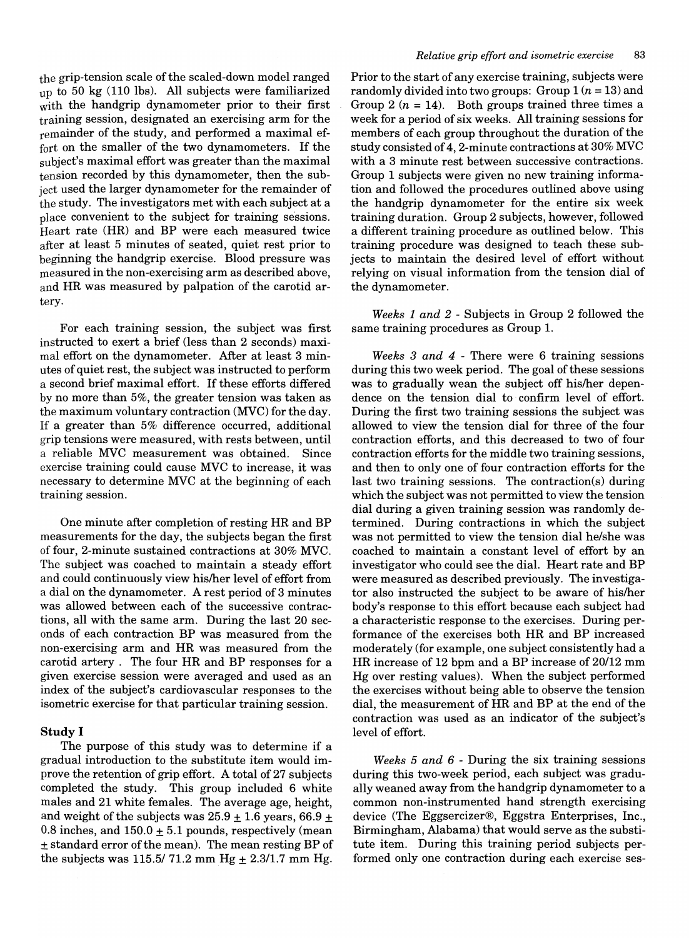the grip-tension scale of the scaled-down model ranged up to 50 kg (110 lbs). All subjects were familiarized with the handgrip dynamometer prior to their first training session, designated an exercising arm for the remainder of the study, and performed a maximal effort on the smaller of the two dynamometers. If the subject's maximal effort was greater than the maximal tension recorded by this dynamometer, then the subject used the larger dynamometer for the remainder of the study. The investigators met with each subject at a place convenient to the subject for training sessions. Heart rate (HR) and BP were each measured twice after at least 5 minutes of seated, quiet rest prior to beginning the handgrip exercise. Blood pressure was measured in the non-exercising arm as described above, and HR was measured by palpation of the carotid artery.

For each training session, the subject was first instructed to exert a brief (less than 2 seconds) maximal effort on the dynamometer. After at least 3 minutes of quiet rest, the subject was instructed to perform a second brief maximal effort. If these efforts differed by no more than 5%, the greater tension was taken as the maximum voluntary contraction (MVC) for the day. If a greater than 5% difference occurred, additional grip tensions were measured, with rests between, until a reliable MVC measurement was obtained. Since exercise training could cause MVC to increase, it was necessary to determine MVC at the beginning of each training session.

One minute after completion of resting HR and BP measurements for the day, the subjects began the first of four, 2-minute sustained contractions at 30% MVC. The subject was coached to maintain a steady effort and could continuously view his/her level of effort from a dial on the dynamometer. A rest period of 3 minutes was allowed between each of the successive contractions, all with the same arm. During the last 20 seconds of each contraction BP was measured from the non-exercising arm and HR was measured from the carotid artery. The four HR and BP responses for a given exercise session were averaged and used as an index of the subject's cardiovascular responses to the isometric exercise for that particular training session.

### Study I

The purpose of this study was to determine if a gradual introduction to the substitute item would improve the retention of grip effort. A total of 27 subjects completed the study. This group included 6 white males and 21 white females. The average age, height, and weight of the subjects was  $25.9 \pm 1.6$  years, 66.9  $\pm$ 0.8 inches, and  $150.0 \pm 5.1$  pounds, respectively (mean ± standard error of the mean). The mean resting BP of the subjects was 115.5/71.2 mm Hg  $\pm$  2.3/1.7 mm Hg.

Prior to the start of any exercise training, subjects were randomly divided into two groups: Group  $1 (n = 13)$  and Group 2  $(n = 14)$ . Both groups trained three times a week for a period of six weeks. All training sessions for members of each group throughout the duration of the study consisted of 4, 2-minute contractions at 30% MVC with a 3 minute rest between successive contractions. Group 1 subjects were given no new training information and followed the procedures outlined above using the handgrip dynamometer for the entire six week training duration. Group 2 subjects, however, followed a different training procedure as outlined below. This training procedure was designed to teach these subjects to maintain the desired level of effort without relying on visual information from the tension dial of the dynamometer.

*Weeks* 1 *and* 2 - Subjects in Group 2 followed the same training procedures as Group 1.

*Weeks* 3 *and* 4 - There were 6 training sessions during this two week period. The goal of these sessions was to gradually wean the subject off his/her dependence on the tension dial to confirm level of effort. During the first two training sessions the subject was allowed to view the tension dial for three of the four contraction efforts, and this decreased to two of four contraction efforts for the middle two training sessions, and then to only one of four contraction efforts for the last two training sessions. The contraction(s) during which the subject was not permitted to view the tension dial during a given training session was randomly determined. During contractions in which the subject was not permitted to view the tension dial he/she was coached to maintain a constant level of effort by an investigator who could see the dial. Heart rate and BP were measured as described previously. The investigator also instructed the subject to be aware of his/her body's response to this effort because each subject had a characteristic response to the exercises. During performance of the exercises both HR and BP increased moderately (for example, one subject consistently had a HR increase of 12 bpm and a BP increase of 20/12 mm Hg over resting values). When the subject performed the exercises without being able to observe the tension dial, the measurement of HR and BP at the end of the contraction was used as an indicator of the subject's level of effort.

*Weeks* 5 *and* 6 - During the six training sessions during this two-week period, each subject was gradually weaned away from the handgrip dynamometer to a common non-instrumented hand strength exercising device (The Eggsercizer®, Eggstra Enterprises, Inc., Birmingham, Alabama) that would serve as the substitute item. During this training period subjects performed only one contraction during each exercise ses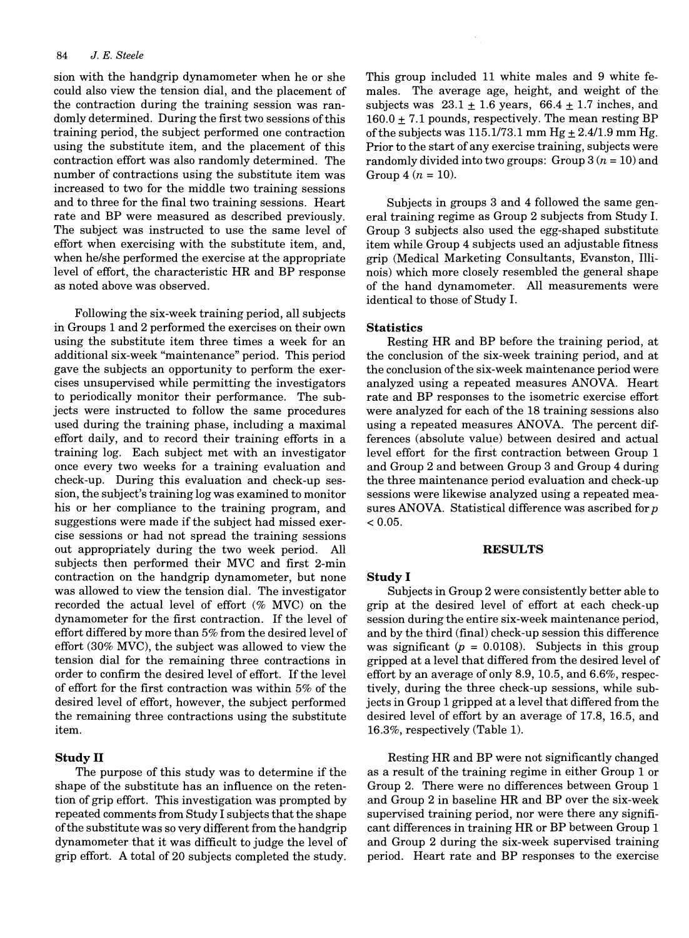sion with the handgrip dynamometer when he or she could also view the tension dial, and the placement of the contraction during the training session was randomly determined. During the first two sessions of this training period, the subject performed one contraction using the substitute item, and the placement of this contraction effort was also randomly determined. The number of contractions using the substitute item was increased to two for the middle two training sessions and to three for the final two training sessions. Heart rate and BP were measured as described previously. The subject was instructed to use the same level of effort when exercising with the substitute item, and, when he/she performed the exercise at the appropriate level of effort, the characteristic HR and BP response as noted above was observed.

Following the six-week training period, all subjects in Groups 1 and 2 performed the exercises on their own using the substitute item three times a week for an additional six-week "maintenance" period. This period gave the subjects an opportunity to perform the exercises unsupervised while permitting the investigators to periodically monitor their performance. The subjects were instructed to follow the same procedures used during the training phase, including a maximal effort daily, and to record their training efforts in a training log. Each subject met with an investigator once every two weeks for a training evaluation and check-up. During this evaluation and check-up session, the subject's training log was examined to monitor his or her compliance to the training program, and suggestions were made if the subject had missed exercise sessions or had not spread the training sessions out appropriately during the two week period. All subjects then performed their MVC and first 2-min contraction on the handgrip dynamometer, but none was allowed to view the tension dial. The investigator recorded the actual level of effort (% MVC) on the dynamometer for the first contraction. If the level of effort differed by more than 5% from the desired level of effort (30% MVC), the subject was allowed to view the tension dial for the remaining three contractions in order to confirm the desired level of effort. If the level of effort for the first contraction was within 5% of the desired level of effort, however, the subject performed the remaining three contractions using the substitute item.

## Study II

The purpose of this study was to determine if the shape of the substitute has an influence on the retention of grip effort. This investigation was prompted by repeated comments from Study I subjects that the shape ofthe substitute was so very different from the handgrip dynamometer that it was difficult to judge the level of grip effort. A total of 20 subjects completed the study.

This group included 11 white males and 9 white females. The average age, height, and weight of the subjects was  $23.1 \pm 1.6$  years,  $66.4 \pm 1.7$  inches, and  $160.0 \pm 7.1$  pounds, respectively. The mean resting BP of the subjects was  $115.1/73.1$  mm Hg  $\pm 2.4/1.9$  mm Hg. Prior to the start of any exercise training, subjects were randomly divided into two groups: Group  $3(n = 10)$  and Group 4  $(n = 10)$ .

Subjects in groups 3 and 4 followed the same general training regime as Group 2 subjects from Study 1. Group 3 subjects also used the egg-shaped substitute item while Group 4 subjects used an adjustable fitness grip (Medical Marketing Consultants, Evanston, Illinois) which more closely resembled the general shape of the hand dynamometer. All measurements were identical to those of Study 1.

#### **Statistics**

Resting HR and BP before the training period, at the conclusion of the six-week training period, and at the conclusion of the six-week maintenance period were analyzed using a repeated measures ANOVA. Heart rate and BP responses to the isometric exercise effort were analyzed for each of the 18 training sessions also using a repeated measures ANOVA. The percent differences (absolute value) between desired and actual level effort for the first contraction between Group 1 and Group 2 and between Group 3 and Group 4 during the three maintenance period evaluation and check-up sessions were likewise analyzed using a repeated measures ANOVA. Statistical difference was ascribed for  $p$  $< 0.05$ .

#### RESULTS

#### Study I

Subjects in Group 2 were consistently better able to grip at the desired level of effort at each check-up session during the entire six-week maintenance period, and by the third (final) check-up session this difference was significant  $(p = 0.0108)$ . Subjects in this group gripped at a level that differed from the desired level of effort by an average of only 8.9, 10.5, and 6.6%, respectively, during the three check-up sessions, while subjects in Group 1 gripped at a level that differed from the desired level of effort by an average of 17.8, 16.5, and 16.3%, respectively (Table 1).

Resting HR and BP were not significantly changed as a result of the training regime in either Group 1 or Group 2. There were no differences between Group 1 and Group 2 in baseline HR and BP over the six-week supervised training period, nor were there any significant differences in training HR or BP between Group 1 and Group 2 during the six-week supervised training period. Heart rate and BP responses to the exercise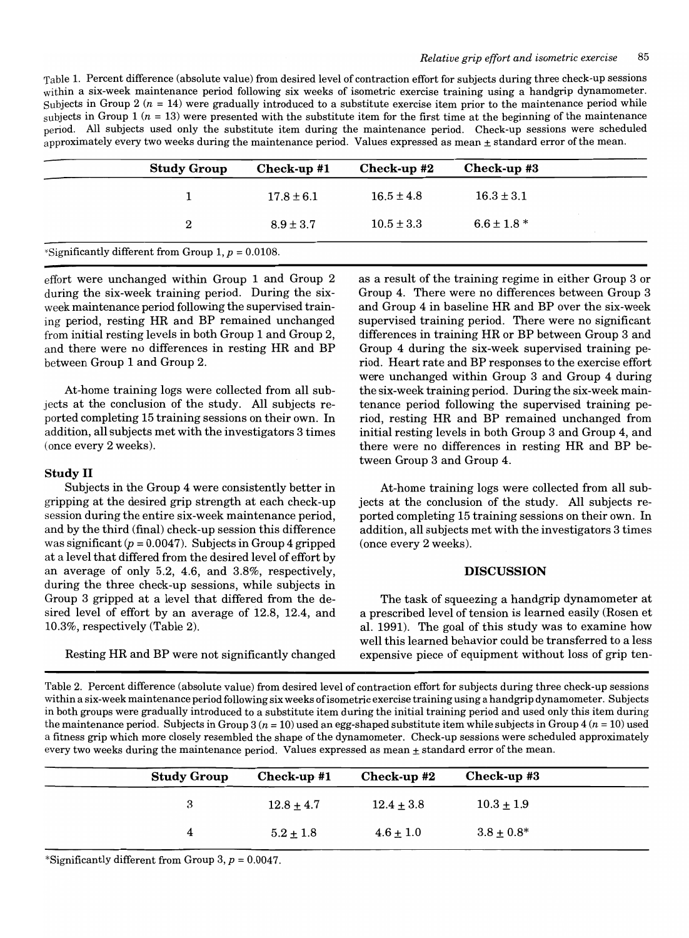Table 1. Percent difference (absolute value) from desired level of contraction effort for subjects during three check-up sessions within a six-week maintenance period following six weeks of isometric exercise training using a handgrip dynamometer. Subjects in Group 2  $(n = 14)$  were gradually introduced to a substitute exercise item prior to the maintenance period while subjects in Group 1 ( $n = 13$ ) were presented with the substitute item for the first time at the beginning of the maintenance period. All subjects used only the substitute item during the maintenance period. Check-up sessions were scheduled approximately every two weeks during the maintenance period. Values expressed as mean  $\pm$  standard error of the mean.

| <b>Study Group</b> | Check-up #1    | Check-up #2    | Check-up #3     |
|--------------------|----------------|----------------|-----------------|
|                    | $17.8 \pm 6.1$ | $16.5 \pm 4.8$ | $16.3 \pm 3.1$  |
| 2                  | $8.9 \pm 3.7$  | $10.5 \pm 3.3$ | $6.6 \pm 1.8$ * |

effort were unchanged within Group 1 and Group 2 during the six-week training period. During the sixweek maintenance period following the supervised training period, resting HR and BP remained unchanged from initial resting levels in both Group 1 and Group 2, and there were no differences in resting HR and BP between Group 1 and Group 2.

At-home training logs were collected from all subjects at the conclusion of the study. All subjects reported completing 15 training sessions on their own. In addition, all subjects met with the investigators 3 times (once every 2 weeks).

### **Study II**

Subjects in the Group 4 were consistently better in gripping at the desired grip strength at each check-up session during the entire six-week maintenance period, and by the third (final) check-up session this difference was significant  $(p = 0.0047)$ . Subjects in Group 4 gripped at a level that differed from the desired level of effort by an average of only 5.2, 4.6, and 3.8%, respectively, during the three check-up sessions, while subjects in Group 3 gripped at a level that differed from the desired level of effort by an average of 12.8, 12.4, and 10.3%, respectively (Table 2).

Resting HR and BP were not significantly changed

as a result of the training regime in either Group 3 or Group 4. There were no differences between Group 3 and Group 4 in baseline HR and BP over the six-week supervised training period. There were no significant differences in training HR or BP between Group 3 and Group 4 during the six-week supervised training period. Heart rate and BP responses to the exercise effort were unchanged within Group 3 and Group 4 during the six-week training period. During the six-week maintenance period following the supervised training period, resting HR and BP remained unchanged from initial resting levels in both Group 3 and Group 4, and there were no differences in resting HR and BP between Group 3 and Group 4.

At-home training logs were collected from all subjects at the conclusion of the study. All subjects reported completing 15 training sessions on their own. In addition, all subjects met with the investigators 3 times (once every 2 weeks).

### **DISCUSSION**

The task of squeezing a handgrip dynamometer at a prescribed level of tension is learned easily (Rosen et al. 1991). The goal of this study was to examine how well this learned behavior could be transferred to a less expensive piece of equipment without loss of grip ten-

Table 2. Percent difference (absolute value) from desired level of contraction effort for subjects during three check-up sessions within a six-week maintenance period following six weeks of isometric exercise training using a handgrip dynamometer. Subjects in both groups were gradually introduced to a substitute item during the initial training period and used only this item during the maintenance period. Subjects in Group  $3 (n = 10)$  used an egg-shaped substitute item while subjects in Group  $4 (n = 10)$  used a fitness grip which more closely resembled the shape of the dynamometer. Check-up sessions were scheduled approximately every two weeks during the maintenance period. Values expressed as mean  $\pm$  standard error of the mean.

| <b>Study Group</b> | $Check-up$ #1 | Check-up #2   | Check-up #3     |
|--------------------|---------------|---------------|-----------------|
|                    | $12.8 + 4.7$  | $12.4 + 3.8$  | $10.3 \pm 1.9$  |
|                    | $5.2 \pm 1.8$ | $4.6 \pm 1.0$ | $3.8 \pm 0.8^*$ |

\*Significantly different from Group 3,  $p = 0.0047$ .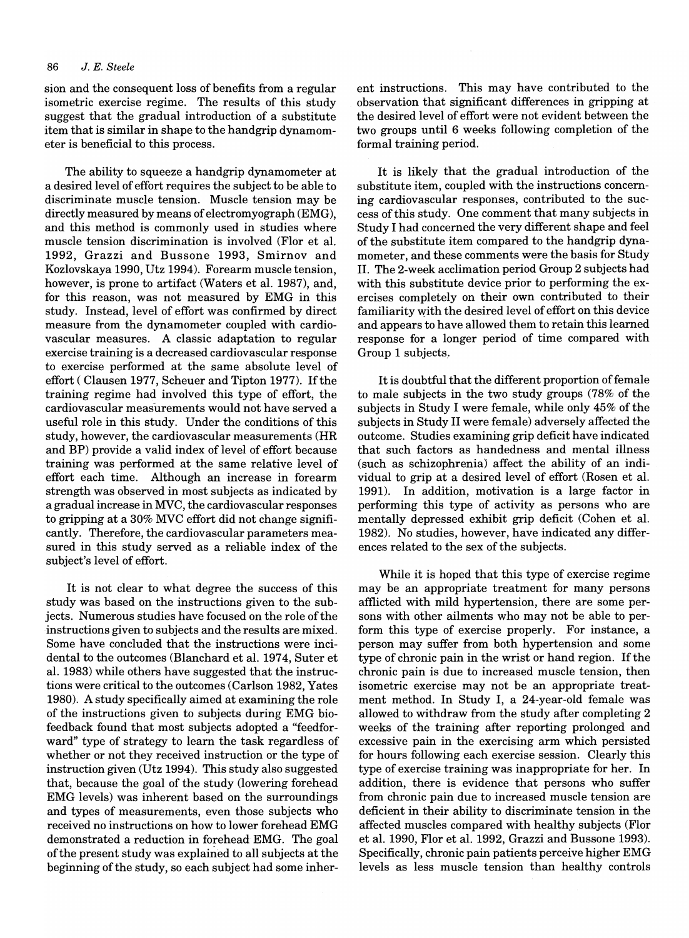sion and the consequent loss of benefits from a regular isometric exercise regime. The results of this study suggest that the gradual introduction of a substitute item that is similar in shape to the handgrip dynamometer is beneficial to this process.

The ability to squeeze a handgrip dynamometer at a desired level of effort requires the subject to be able to discriminate muscle tension. Muscle tension may be directly measured by means of electromyograph (EMG), and this method is commonly used in studies where muscle tension discrimination is involved (Flor et al. 1992, Grazzi and Bussone 1993, Smirnov and Kozlovskaya 1990, Utz 1994). Forearm muscle tension, however, is prone to artifact (Waters et al. 1987), and, for this reason, was not measured by EMG in this study. Instead, level of effort was confirmed by direct measure from the dynamometer coupled with cardiovascular measures. A classic adaptation to regular exercise training is a decreased cardiovascular response to exercise performed at the same absolute level of effort (Clausen 1977, Scheuer and Tipton 1977). If the training regime had involved this type of effort, the cardiovascular measurements would not have served a useful role in this study. Under the conditions of this study, however, the cardiovascular measurements (HR and BP) provide a valid index of level of effort because training was performed at the same relative level of effort each time. Although an increase in forearm strength was observed in most subjects as indicated by a gradual increase in MVC, the cardiovascular responses to gripping at a 30% MVC effort did not change significantly. Therefore, the cardiovascular parameters measured in this study served as a reliable index of the subject's level of effort.

It is not clear to what degree the success of this study was based on the instructions given to the subjects. Numerous studies have focused on the role of the instructions given to subjects and the results are mixed. Some have concluded that the instructions were incidental to the outcomes (Blanchard et al. 1974, Suter et al. 1983) while others have suggested that the instructions were critical to the outcomes (Carlson 1982, Yates 1980). A study specifically aimed at examining the role of the instructions given to subjects during EMG biofeedback found that most subjects adopted a "feedforward" type of strategy to learn the task regardless of whether or not they received instruction or the type of instruction given (Utz 1994). This study also suggested that, because the goal of the study (lowering forehead EMG levels) was inherent based on the surroundings and types of measurements, even those subjects who received no instructions on how to lower forehead EMG demonstrated a reduction in forehead EMG. The goal of the present study was explained to all subjects at the beginning of the study, so each subject had some inherent instructions. This may have contributed to the observation that significant differences in gripping at the desired level of effort were not evident between the two groups until 6 weeks following completion of the formal training period.

It is likely that the gradual introduction of the substitute item, coupled with the instructions concerning cardiovascular responses, contributed to the success of this study. One commenfthat many subjects in Study I had concerned the very different shape and feel of the substitute item compared to the handgrip dynamometer, and these comments were the basis for Study II. The 2-week acclimation period Group 2 subjects had with this substitute device prior to performing the exercises completely on their own contributed to their familiarity with the desired level of effort on this device and appears to have allowed them to retain this learned response for a longer period of time compared with Group 1 subjects ..

It is doubtful that the different proportion of female to male subjects in the two study groups (78% of the subjects in Study I were female, while only 45% of the subjects in Study II were female) adversely affected the outcome. Studies examining grip deficit have indicated that such factors as handedness and mental illness (such as schizophrenia) affect the ability of an individual to grip at a desired level of effort (Rosen et al. 1991). In addition, motivation is a large factor in performing this type of activity as persons who are mentally depressed exhibit grip deficit (Cohen et al. 1982). No studies, however, have indicated any differences related to the sex of the subjects.

While it is hoped that this type of exercise regime may be an appropriate treatment for many persons afflicted with mild hypertension, there are some persons with other ailments who may not be able to perform this type of exercise properly. For instance, a person may suffer from both hypertension and some type of chronic pain in the wrist or hand region. If the chronic pain is due to increased muscle tension, then isometric exercise may not be an appropriate treatment method. In Study I, a 24-year-old female was allowed to withdraw from the study after completing 2 weeks of the training after reporting prolonged and excessive pain in the exercising arm which persisted for hours following each exercise session. Clearly this type of exercise training was inappropriate for her. In addition, there is evidence that persons who suffer from chronic pain due to increased muscle tension are deficient in their ability to discriminate tension in the affected muscles compared with healthy subjects (Flor et al. 1990, Flor et al. 1992, Grazzi and Bussone 1993). Specifically, chronic pain patients perceive higher EMG levels as less muscle tension than healthy controls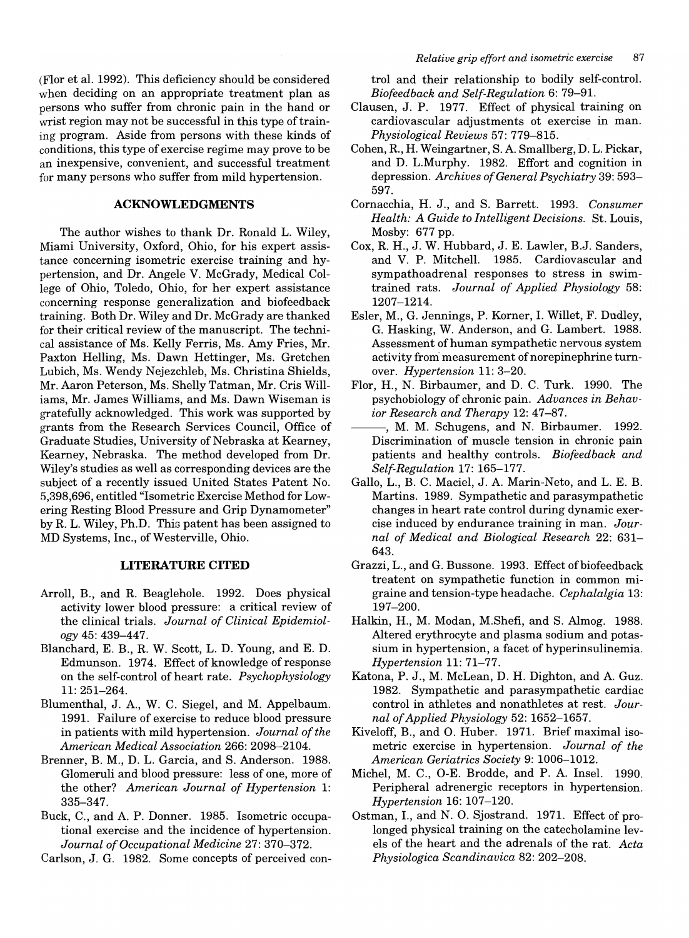(Flor et al. 1992). This deficiency should be considered when deciding on an appropriate treatment plan as persons who suffer from chronic pain in the hand or wrist region may not be successful in this type of training program. Aside from persons with these kinds of conditions, this type of exercise regime may prove to be an inexpensive, convenient, and successful treatment for many persons who suffer from mild hypertension.

### **ACKNOWLEDGMENTS**

The author wishes to thank Dr. Ronald L. Wiley, Miami University, Oxford, Ohio, for his expert assistance concerning isometric exercise training and hypertension, and Dr. Angele V. McGrady, Medical College of Ohio, Toledo, Ohio, for her expert assistance concerning response generalization and biofeedback training. Both Dr. Wiley and Dr. McGrady are thanked for their critical review of the manuscript. The technical assistance of Ms. Kelly Ferris, Ms. Amy Fries, Mr. Paxton Helling, Ms. Dawn Hettinger, Ms. Gretchen Lubich, Ms. Wendy Nejezchleb, Ms. Christina Shields, Mr. Aaron Peterson, Ms. Shelly Tatman, Mr. Cris Williams, Mr. James Williams, and Ms. Dawn Wiseman is gratefully acknowledged. This work was supported by grants from the Research Services Council, Office of Graduate Studies, University of Nebraska at Kearney, Kearney, Nebraska. The method developed from Dr. Wiley's studies as well as corresponding devices are the subject of a recently issued United States Patent No. 5,398,696, entitled "Isometric Exercise Method for Lowering Resting Blood Pressure and Grip Dynamometer" by R. L. Wiley, Ph.D. This patent has been assigned to MD Systems, Inc., of Westerville, Ohio.

## **LITERATURE CITED**

- Arroll, B., and R. Beaglehole. 1992. Does physical activity lower blood pressure: a critical review of the clinical trials. *Journal of Clinical Epidemiology* 45: 439-447.
- Blanchard, E. B., R. W. Scott, L. D. Young, and E. D. Edmunson. 1974. Effect of knowledge of response on the self-control of heart rate. *Psychophysiology*  11: 251-264.
- Blumenthal, J. A, W. C. Siegel, and M. Appelbaum. 1991. Failure of exercise to reduce blood pressure in patients with mild hypertension. *Journal of the American Medical Association* 266: 2098-2104.
- Brenner, B. M., D. L. Garcia, and S. Anderson. 1988. Glomeruli and blood pressure: less of one, more of the other? *American Journal of Hypertension* 1: 335-347.
- Buck, C., and A. P. Donner. 1985. Isometric occupational exercise and the incidence of hypertension. *Journal of Occupational Medicine* 27: 370-372.
- Carlson, J. G. 1982. Some concepts of perceived con-

trol and their relationship to bodily self-control. *Biofeedback and Self-Regulation* 6: 79-91.

- Clausen, J. P. 1977. Effect of physical training on cardiovascular adjustments ot exercise in man. *Physiological Reviews* 57: 779-815.
- Cohen, R., H. Weingartner, S. A Smallberg, D. L. Pickar, and D. L.Murphy. 1982. Effort and cognition in depression. *Archives of General Psychiatry* 39: 593- 597.
- Cornacchia, H. J., and S. Barrett. 1993. *Consumer Health: A Guide to Intelligent Decisions.* St. Louis, Mosby: 677 pp.
- Cox, R. H., J. W. Hubbard, J. E. Lawler, B.J. Sanders, and V. P. Mitchell. 1985. Cardiovascular and sympathoadrenal responses to stress in swimtrained rats. *Journal of Applied Physiology 58:*  1207-1214.
- Esler, M., G. Jennings, P. Korner, I. Willet, F. Dudley, G. Hasking, W. Anderson, and G. Lambert. 1988. Assessment of human sympathetic nervous system activity from measurement of norepinephrine turnover. *Hypertension* 11: 3-20.
- Flor, H., N. Birbaumer, and D. C. Turk. 1990. The psychobiology of chronic pain. *Advances in Behavior Research and Therapy* 12: 47-87.
- $-$ , M. M. Schugens, and N. Birbaumer. 1992. Discrimination of muscle tension in chronic pain patients and healthy controls. *Biofeedback and Self-Regulation* 17: 165-177.
- Gallo, L., B. C. Maciel, J. A. Marin-Neto, and L. E. B. Martins. 1989. Sympathetic and parasympathetic changes in heart rate control during dynamic exercise induced by endurance training in man. *Journal of Medical and Biological Research* 22: 631- 643.
- Grazzi, L., and G. Bussone. 1993. Effect of biofeedback treatent on sympathetic function in common migraine and tension-type headache. *Cephalalgia* 13: 197-200.
- Halkin, H., M. Modan, M.Shefi, and S. Almog. 1988. Altered erythrocyte and plasma sodium and potassium in hypertension, a facet of hyperinsulinemia. *Hypertension* 11: 71-77.
- Katona, P. J., M. McLean, D. H. Dighton, and A. Guz. 1982. Sympathetic and parasympathetic cardiac control in athletes and nonathletes at rest. *Journal of Applied Physiology* 52: 1652-1657.
- Kiveloff, B., and O. Huber. 1971. Brief maximal isometric exercise in hypertension. *Journal of the American Geriatrics Society* 9: 1006-1012.
- Michel, M. C., O-E. Brodde, and P. A. Insel. 1990. Peripheral adrenergic receptors in hypertension. *Hypertension* 16: 107-120.
- Ostman, I., and N. O. Sjostrand. 1971. Effect of prolonged physical training on the catecholamine levels of the heart and the adrenals of the rat. *Acta Physiologica Scandinavica* 82: 202-208.